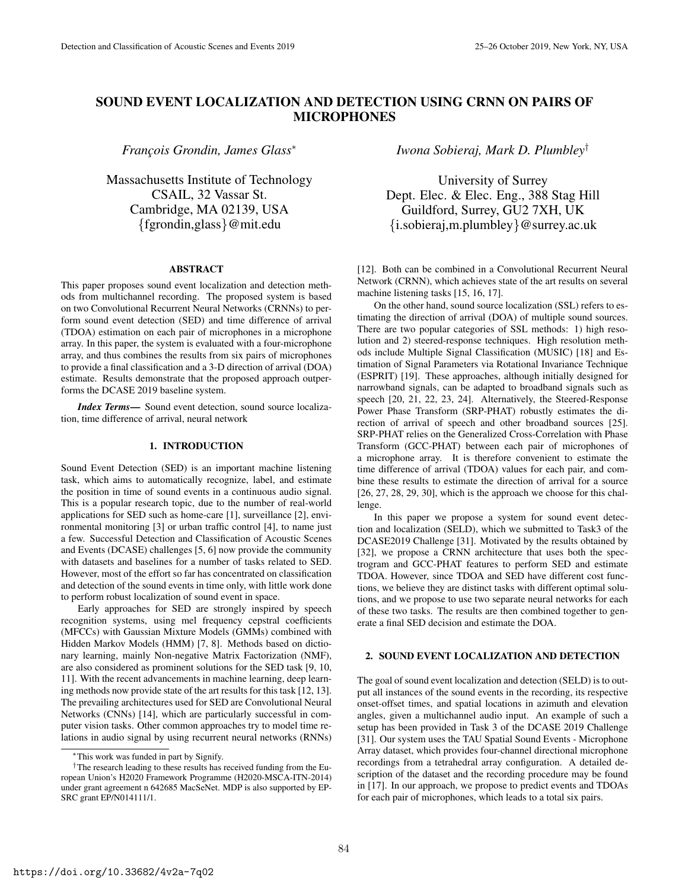# SOUND EVENT LOCALIZATION AND DETECTION USING CRNN ON PAIRS OF MICROPHONES

*Franc¸ois Grondin, James Glass*<sup>∗</sup>

Massachusetts Institute of Technology CSAIL, 32 Vassar St. Cambridge, MA 02139, USA {fgrondin,glass}@mit.edu

# ABSTRACT

This paper proposes sound event localization and detection methods from multichannel recording. The proposed system is based on two Convolutional Recurrent Neural Networks (CRNNs) to perform sound event detection (SED) and time difference of arrival (TDOA) estimation on each pair of microphones in a microphone array. In this paper, the system is evaluated with a four-microphone array, and thus combines the results from six pairs of microphones to provide a final classification and a 3-D direction of arrival (DOA) estimate. Results demonstrate that the proposed approach outperforms the DCASE 2019 baseline system.

*Index Terms*— Sound event detection, sound source localization, time difference of arrival, neural network

# 1. INTRODUCTION

Sound Event Detection (SED) is an important machine listening task, which aims to automatically recognize, label, and estimate the position in time of sound events in a continuous audio signal. This is a popular research topic, due to the number of real-world applications for SED such as home-care [1], surveillance [2], environmental monitoring [3] or urban traffic control [4], to name just a few. Successful Detection and Classification of Acoustic Scenes and Events (DCASE) challenges [5, 6] now provide the community with datasets and baselines for a number of tasks related to SED. However, most of the effort so far has concentrated on classification and detection of the sound events in time only, with little work done to perform robust localization of sound event in space.

Early approaches for SED are strongly inspired by speech recognition systems, using mel frequency cepstral coefficients (MFCCs) with Gaussian Mixture Models (GMMs) combined with Hidden Markov Models (HMM) [7, 8]. Methods based on dictionary learning, mainly Non-negative Matrix Factorization (NMF), are also considered as prominent solutions for the SED task [9, 10, 11]. With the recent advancements in machine learning, deep learning methods now provide state of the art results for this task [12, 13]. The prevailing architectures used for SED are Convolutional Neural Networks (CNNs) [14], which are particularly successful in computer vision tasks. Other common approaches try to model time relations in audio signal by using recurrent neural networks (RNNs) *Iwona Sobieraj, Mark D. Plumbley*†

University of Surrey Dept. Elec. & Elec. Eng., 388 Stag Hill Guildford, Surrey, GU2 7XH, UK {i.sobieraj,m.plumbley}@surrey.ac.uk

[12]. Both can be combined in a Convolutional Recurrent Neural Network (CRNN), which achieves state of the art results on several machine listening tasks [15, 16, 17].

On the other hand, sound source localization (SSL) refers to estimating the direction of arrival (DOA) of multiple sound sources. There are two popular categories of SSL methods: 1) high resolution and 2) steered-response techniques. High resolution methods include Multiple Signal Classification (MUSIC) [18] and Estimation of Signal Parameters via Rotational Invariance Technique (ESPRIT) [19]. These approaches, although initially designed for narrowband signals, can be adapted to broadband signals such as speech [20, 21, 22, 23, 24]. Alternatively, the Steered-Response Power Phase Transform (SRP-PHAT) robustly estimates the direction of arrival of speech and other broadband sources [25]. SRP-PHAT relies on the Generalized Cross-Correlation with Phase Transform (GCC-PHAT) between each pair of microphones of a microphone array. It is therefore convenient to estimate the time difference of arrival (TDOA) values for each pair, and combine these results to estimate the direction of arrival for a source  $[26, 27, 28, 29, 30]$ , which is the approach we choose for this challenge.

In this paper we propose a system for sound event detection and localization (SELD), which we submitted to Task3 of the DCASE2019 Challenge [31]. Motivated by the results obtained by [32], we propose a CRNN architecture that uses both the spectrogram and GCC-PHAT features to perform SED and estimate TDOA. However, since TDOA and SED have different cost functions, we believe they are distinct tasks with different optimal solutions, and we propose to use two separate neural networks for each of these two tasks. The results are then combined together to generate a final SED decision and estimate the DOA.

# 2. SOUND EVENT LOCALIZATION AND DETECTION

The goal of sound event localization and detection (SELD) is to output all instances of the sound events in the recording, its respective onset-offset times, and spatial locations in azimuth and elevation angles, given a multichannel audio input. An example of such a setup has been provided in Task 3 of the DCASE 2019 Challenge [31]. Our system uses the TAU Spatial Sound Events - Microphone Array dataset, which provides four-channel directional microphone recordings from a tetrahedral array configuration. A detailed description of the dataset and the recording procedure may be found in [17]. In our approach, we propose to predict events and TDOAs for each pair of microphones, which leads to a total six pairs.

<sup>∗</sup>This work was funded in part by Signify.

<sup>†</sup>The research leading to these results has received funding from the European Union's H2020 Framework Programme (H2020-MSCA-ITN-2014) under grant agreement n 642685 MacSeNet. MDP is also supported by EP-SRC grant EP/N014111/1.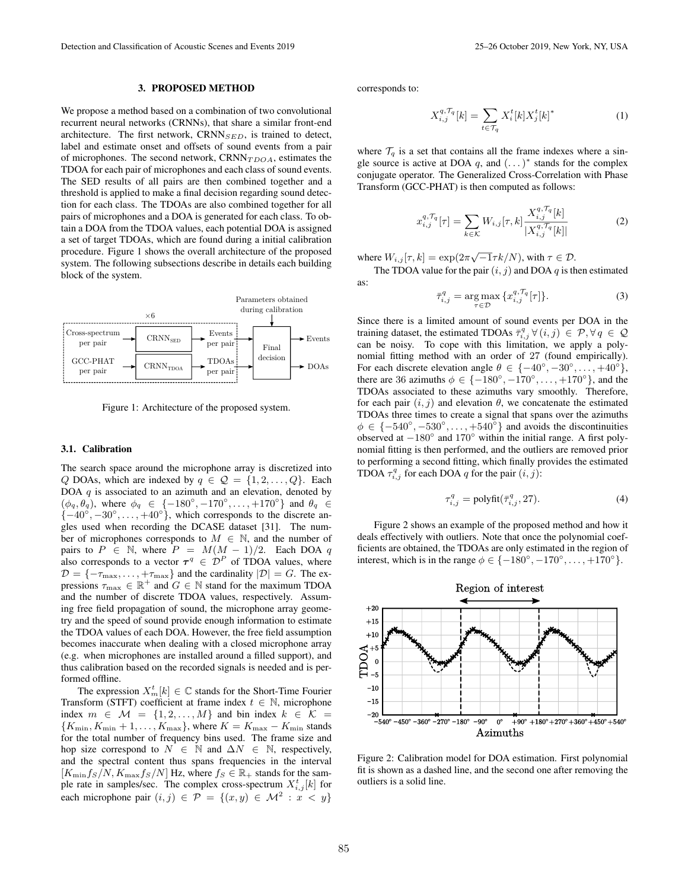#### 3. PROPOSED METHOD

We propose a method based on a combination of two convolutional recurrent neural networks (CRNNs), that share a similar front-end architecture. The first network,  $CRNN_{SED}$ , is trained to detect, label and estimate onset and offsets of sound events from a pair of microphones. The second network,  $CRNN<sub>TDOA</sub>$ , estimates the TDOA for each pair of microphones and each class of sound events. The SED results of all pairs are then combined together and a threshold is applied to make a final decision regarding sound detection for each class. The TDOAs are also combined together for all pairs of microphones and a DOA is generated for each class. To obtain a DOA from the TDOA values, each potential DOA is assigned a set of target TDOAs, which are found during a initial calibration procedure. Figure 1 shows the overall architecture of the proposed system. The following subsections describe in details each building block of the system.



Figure 1: Architecture of the proposed system.

# 3.1. Calibration

The search space around the microphone array is discretized into Q DOAs, which are indexed by  $q \in \mathcal{Q} = \{1, 2, ..., Q\}$ . Each DOA  $q$  is associated to an azimuth and an elevation, denoted by  $(\phi_q, \theta_q)$ , where  $\phi_q \in \{-180^\circ, -170^\circ, \dots, +170^\circ\}$  and  $\theta_q \in$  $\{-40^\circ, -30^\circ, \dots, +40^\circ\}$ , which corresponds to the discrete angles used when recording the DCASE dataset [31]. The number of microphones corresponds to  $M \in \mathbb{N}$ , and the number of pairs to  $P \in \mathbb{N}$ , where  $P = M(M-1)/2$ . Each DOA q also corresponds to a vector  $\tau^q \in \mathcal{D}^P$  of TDOA values, where  $\mathcal{D} = \{-\tau_{\max}, \ldots, +\tau_{\max}\}\$  and the cardinality  $|\mathcal{D}| = G$ . The expressions  $\tau_{\text{max}} \in \mathbb{R}^+$  and  $G \in \mathbb{N}$  stand for the maximum TDOA and the number of discrete TDOA values, respectively. Assuming free field propagation of sound, the microphone array geometry and the speed of sound provide enough information to estimate the TDOA values of each DOA. However, the free field assumption becomes inaccurate when dealing with a closed microphone array (e.g. when microphones are installed around a filled support), and thus calibration based on the recorded signals is needed and is performed offline.

The expression  $X_{m}^{t}[k] \in \mathbb{C}$  stands for the Short-Time Fourier Transform (STFT) coefficient at frame index  $t \in \mathbb{N}$ , microphone index  $m \in \mathcal{M} = \{1, 2, ..., M\}$  and bin index  $k \in \mathcal{K} =$  ${K_{\min}, K_{\min} + 1, \ldots, K_{\max}}$ , where  $K = K_{\max} - K_{\min}$  stands for the total number of frequency bins used. The frame size and hop size correspond to  $N \in \mathbb{N}$  and  $\Delta N \in \mathbb{N}$ , respectively, and the spectral content thus spans frequencies in the interval  $[K_{\min}f_S/N, K_{\max}f_S/N]$  Hz, where  $f_S \in \mathbb{R}_+$  stands for the sample rate in samples/sec. The complex cross-spectrum  $X_{i,j}^t[k]$  for each microphone pair  $(i, j) \in \mathcal{P} = \{(x, y) \in \mathcal{M}^2 : x < y\}$ 

corresponds to:

as:

$$
X_{i,j}^{q, \mathcal{T}_q}[k] = \sum_{t \in \mathcal{T}_q} X_i^t[k] X_j^t[k]^*
$$
 (1)

where  $\mathcal{T}_q$  is a set that contains all the frame indexes where a single source is active at DOA q, and  $(\dots)^*$  stands for the complex conjugate operator. The Generalized Cross-Correlation with Phase Transform (GCC-PHAT) is then computed as follows:

$$
x_{i,j}^{q, \mathcal{T}_q}[\tau] = \sum_{k \in \mathcal{K}} W_{i,j}[\tau, k] \frac{X_{i,j}^{q, \mathcal{T}_q}[k]}{|X_{i,j}^{q, \mathcal{T}_q}[k]|} \tag{2}
$$

where  $W_{i,j}[\tau, k] = \exp(2\pi\sqrt{-1}\tau k/N)$ , with  $\tau \in \mathcal{D}$ . The TDOA value for the pair  $(i, j)$  and DOA q is then estimated

$$
\bar{\tau}_{i,j}^q = \underset{\tau \in \mathcal{D}}{\arg \max} \, \{ x_{i,j}^{q, \mathcal{T}_q}[\tau] \}. \tag{3}
$$

Since there is a limited amount of sound events per DOA in the training dataset, the estimated TDOAs  $\bar{\tau}_{i,j}^q \forall (i,j) \in \mathcal{P}, \forall q \in \mathcal{Q}$ can be noisy. To cope with this limitation, we apply a polynomial fitting method with an order of 27 (found empirically). For each discrete elevation angle  $\theta \in \{-40^\circ, -30^\circ, \dots, +40^\circ\},\$ there are 36 azimuths  $\phi \in \{-180^\circ, -170^\circ, \dots, +170^\circ\}$ , and the TDOAs associated to these azimuths vary smoothly. Therefore, for each pair  $(i, j)$  and elevation  $\theta$ , we concatenate the estimated TDOAs three times to create a signal that spans over the azimuths  $\phi \in \{-540^\circ, -530^\circ, \dots, +540^\circ\}$  and avoids the discontinuities observed at  $-180^\circ$  and  $170^\circ$  within the initial range. A first polynomial fitting is then performed, and the outliers are removed prior to performing a second fitting, which finally provides the estimated TDOA  $\tau_{i,j}^q$  for each DOA q for the pair  $(i, j)$ :

$$
\tau_{i,j}^q = \text{polyfit}(\bar{\tau}_{i,j}^q, 27). \tag{4}
$$

Figure 2 shows an example of the proposed method and how it deals effectively with outliers. Note that once the polynomial coefficients are obtained, the TDOAs are only estimated in the region of interest, which is in the range  $\phi \in \{-180^\circ, -170^\circ, \dots, +170^\circ\}.$ 



Figure 2: Calibration model for DOA estimation. First polynomial fit is shown as a dashed line, and the second one after removing the outliers is a solid line.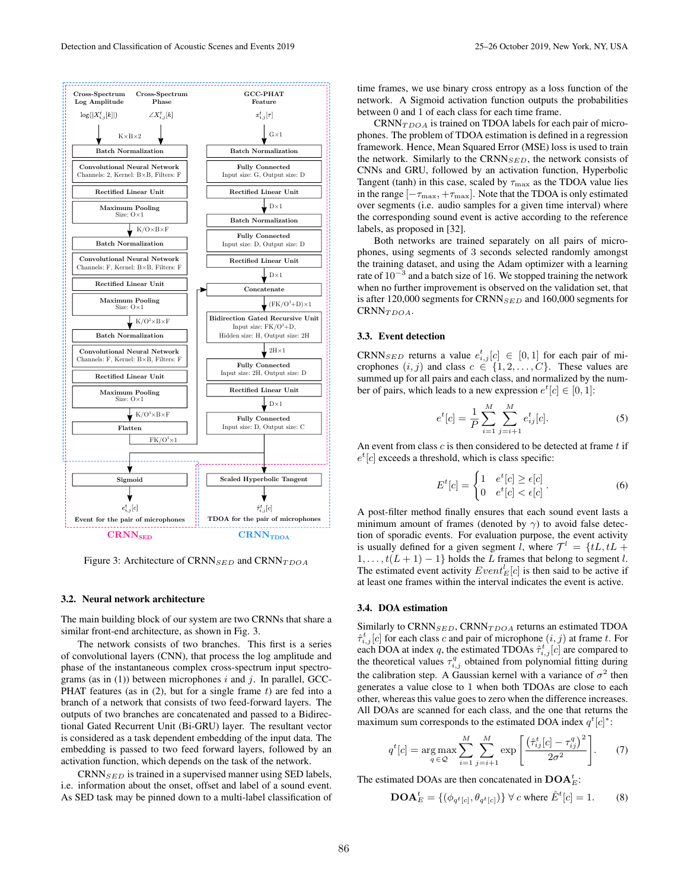

Figure 3: Architecture of CRNN $_{SED}$  and CRNN $_{TDOA}$ 

#### 3.2. Neural network architecture

The main building block of our system are two CRNNs that share a similar front-end architecture, as shown in Fig. 3.

The network consists of two branches. This first is a series of convolutional layers (CNN), that process the log amplitude and phase of the instantaneous complex cross-spectrum input spectrograms (as in  $(1)$ ) between microphones i and j. In parallel, GCC-PHAT features (as in  $(2)$ , but for a single frame t) are fed into a branch of a network that consists of two feed-forward layers. The outputs of two branches are concatenated and passed to a Bidirectional Gated Recurrent Unit (Bi-GRU) layer. The resultant vector is considered as a task dependent embedding of the input data. The embedding is passed to two feed forward layers, followed by an activation function, which depends on the task of the network.

 $CRNN_{SED}$  is trained in a supervised manner using SED labels, i.e. information about the onset, offset and label of a sound event. As SED task may be pinned down to a multi-label classification of time frames, we use binary cross entropy as a loss function of the network. A Sigmoid activation function outputs the probabilities between 0 and 1 of each class for each time frame.

 $CRNN<sub>TDOA</sub>$  is trained on TDOA labels for each pair of microphones. The problem of TDOA estimation is defined in a regression framework. Hence, Mean Squared Error (MSE) loss is used to train the network. Similarly to the CRNN $_{SED}$ , the network consists of CNNs and GRU, followed by an activation function, Hyperbolic Tangent (tanh) in this case, scaled by  $\tau_{\text{max}}$  as the TDOA value lies in the range  $[-\tau_{\text{max}}, +\tau_{\text{max}}]$ . Note that the TDOA is only estimated over segments (i.e. audio samples for a given time interval) where the corresponding sound event is active according to the reference labels, as proposed in [32].

Both networks are trained separately on all pairs of microphones, using segments of 3 seconds selected randomly amongst the training dataset, and using the Adam optimizer with a learning rate of  $10^{-3}$  and a batch size of 16. We stopped training the network when no further improvement is observed on the validation set, that is after 120,000 segments for CRNN $_{SED}$  and 160,000 segments for CRNN<sub>TDOA</sub>.

# 3.3. Event detection

CRNN $_{SED}$  returns a value  $e_{i,j}^t[c] \in [0,1]$  for each pair of microphones  $(i, j)$  and class  $c \in \{1, 2, \ldots, C\}$ . These values are summed up for all pairs and each class, and normalized by the number of pairs, which leads to a new expression  $e^t[c] \in [0, 1]$ :

$$
e^{t}[c] = \frac{1}{P} \sum_{i=1}^{M} \sum_{j=i+1}^{M} e^{t}_{ij}[c].
$$
 (5)

An event from class  $c$  is then considered to be detected at frame  $t$  if  $e^t[c]$  exceeds a threshold, which is class specific:

$$
E^{t}[c] = \begin{cases} 1 & e^{t}[c] \ge \epsilon[c] \\ 0 & e^{t}[c] < \epsilon[c] \end{cases} . \tag{6}
$$

A post-filter method finally ensures that each sound event lasts a minimum amount of frames (denoted by  $\gamma$ ) to avoid false detection of sporadic events. For evaluation purpose, the event activity is usually defined for a given segment l, where  $\mathcal{T}^l = \{tL, tL + \}$  $1, \ldots, t(L+1)-1$ } holds the L frames that belong to segment l. The estimated event activity  $Event_E^l[c]$  is then said to be active if at least one frames within the interval indicates the event is active.

### 3.4. DOA estimation

Similarly to CRNN $_{SED}$ , CRNN $_{TDOA}$  returns an estimated TDOA  $\hat{\tau}_{i,j}^{t}[c]$  for each class c and pair of microphone  $(i, j)$  at frame t. For each DOA at index q, the estimated TDOAs  $\hat{\tau}_{i,j}^{t}[c]$  are compared to the theoretical values  $\tau_{i,j}^q$  obtained from polynomial fitting during the calibration step. A Gaussian kernel with a variance of  $\sigma^2$  then generates a value close to 1 when both TDOAs are close to each other, whereas this value goes to zero when the difference increases. All DOAs are scanned for each class, and the one that returns the maximum sum corresponds to the estimated DOA index  $q^{t}[c]^{*}$ :

$$
q^{t}[c] = \underset{q \in \mathcal{Q}}{\arg \max} \sum_{i=1}^{M} \sum_{j=i+1}^{M} \exp\left[\frac{\left(\hat{\tau}_{ij}^{t}[c] - \tau_{ij}^{q}\right)^{2}}{2\sigma^{2}}\right].
$$
 (7)

The estimated DOAs are then concatenated in  $\mathrm{DOA}_E^t$ :

$$
\mathbf{DOA}_{E}^{t} = \{ (\phi_{q^t[c]}, \theta_{q^t[c]}) \} \forall c \text{ where } \hat{E}^{t}[c] = 1.
$$
 (8)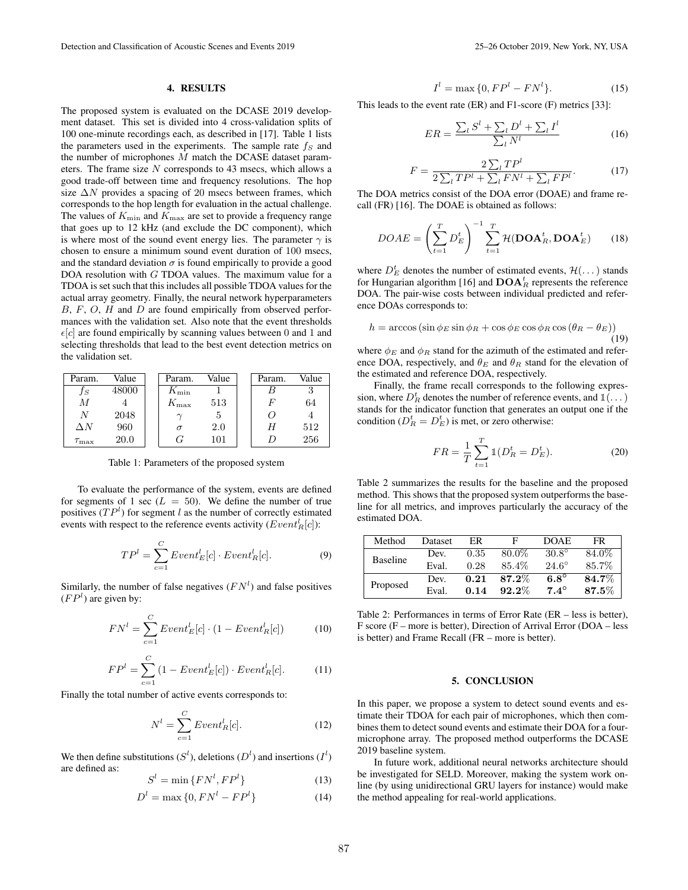#### 4. RESULTS

The proposed system is evaluated on the DCASE 2019 development dataset. This set is divided into 4 cross-validation splits of 100 one-minute recordings each, as described in [17]. Table 1 lists the parameters used in the experiments. The sample rate  $f<sub>S</sub>$  and the number of microphones M match the DCASE dataset parameters. The frame size  $N$  corresponds to 43 msecs, which allows a good trade-off between time and frequency resolutions. The hop size  $\Delta N$  provides a spacing of 20 msecs between frames, which corresponds to the hop length for evaluation in the actual challenge. The values of  $K_{\text{min}}$  and  $K_{\text{max}}$  are set to provide a frequency range that goes up to 12 kHz (and exclude the DC component), which is where most of the sound event energy lies. The parameter  $\gamma$  is chosen to ensure a minimum sound event duration of 100 msecs, and the standard deviation  $\sigma$  is found empirically to provide a good DOA resolution with G TDOA values. The maximum value for a TDOA is set such that this includes all possible TDOA values for the actual array geometry. Finally, the neural network hyperparameters  $B, F, O, H$  and  $D$  are found empirically from observed performances with the validation set. Also note that the event thresholds  $\epsilon[c]$  are found empirically by scanning values between 0 and 1 and selecting thresholds that lead to the best event detection metrics on the validation set.

| Param.           | Value | Param.        | Value | Param. | Value |
|------------------|-------|---------------|-------|--------|-------|
| JS               | 48000 | $K_{\rm min}$ |       |        |       |
| М                |       | $K_{\rm max}$ | 513   |        | 64    |
| N                | 2048  |               | G     |        |       |
| $\Delta N$       | 960   |               | 2.0   |        | 512   |
| $\tau_{\rm max}$ | 20.0  |               | 101   |        | 256   |

Table 1: Parameters of the proposed system

To evaluate the performance of the system, events are defined for segments of 1 sec  $(L = 50)$ . We define the number of true positives  $(TP<sup>l</sup>)$  for segment l as the number of correctly estimated events with respect to the reference events activity  $(Event_R^l[c])$ :

$$
TP^{l} = \sum_{c=1}^{C} Event_{E}^{l}[c] \cdot Event_{R}^{l}[c]. \tag{9}
$$

Similarly, the number of false negatives  $(FN<sup>l</sup>)$  and false positives  $(FP<sup>l</sup>)$  are given by:

$$
FN^{l} = \sum_{c=1}^{C} Event_{E}^{l}[c] \cdot (1 - Event_{R}^{l}[c])
$$
 (10)

$$
FPl = \sum_{c=1}^{C} (1 - Event_El[c]) \cdot Event_Rl[c].
$$
 (11)

Finally the total number of active events corresponds to:

$$
N^l = \sum_{c=1}^{C} Event_R^l[c].
$$
 (12)

We then define substitutions  $(S^l)$ , deletions  $(D^l)$  and insertions  $(I^l)$ are defined as:

$$
S^{l} = \min\{FN^{l}, FP^{l}\}\tag{13}
$$

$$
Dl = \max\left\{0, FNl - FPl\right\}
$$
 (14)

$$
Il = \max\{0, FPl - FNl\}.
$$
 (15)

This leads to the event rate (ER) and F1-score (F) metrics [33]:

$$
ER = \frac{\sum_{l} S^l + \sum_{l} D^l + \sum_{l} I^l}{\sum_{l} N^l}
$$
\n(16)

$$
F = \frac{2\sum_{l}TP^{l}}{2\sum_{l}TP^{l} + \sum_{l}FN^{l} + \sum_{l}FP^{l}}.
$$
 (17)

The DOA metrics consist of the DOA error (DOAE) and frame recall (FR) [16]. The DOAE is obtained as follows:

$$
DOAE = \left(\sum_{t=1}^{T} D_E^t\right)^{-1} \sum_{t=1}^{T} \mathcal{H}(\mathbf{DOA}_R^t, \mathbf{DOA}_E^t)
$$
(18)

where  $D_E^t$  denotes the number of estimated events,  $\mathcal{H}(\dots)$  stands for Hungarian algorithm [16] and  $\mathrm{DOA}_R^t$  represents the reference DOA. The pair-wise costs between individual predicted and reference DOAs corresponds to:

$$
h = \arccos\left(\sin\phi_E\sin\phi_R + \cos\phi_E\cos\phi_R\cos\left(\theta_R - \theta_E\right)\right)
$$
\n(19)

where  $\phi_E$  and  $\phi_R$  stand for the azimuth of the estimated and reference DOA, respectively, and  $\theta_E$  and  $\theta_R$  stand for the elevation of the estimated and reference DOA, respectively.

Finally, the frame recall corresponds to the following expression, where  $D_R^t$  denotes the number of reference events, and  $\mathbb{1}(\dots)$ stands for the indicator function that generates an output one if the condition ( $D_R^t = D_E^t$ ) is met, or zero otherwise:

$$
FR = \frac{1}{T} \sum_{t=1}^{T} \mathbb{1}(D_R^t = D_E^t).
$$
 (20)

Table 2 summarizes the results for the baseline and the proposed method. This shows that the proposed system outperforms the baseline for all metrics, and improves particularly the accuracy of the estimated DOA.

| Method          | Dataset | ER   | F        | <b>DOAE</b>  | FR.   |
|-----------------|---------|------|----------|--------------|-------|
| <b>Baseline</b> | Dev.    | 0.35 | 80.0%    | $30.8^\circ$ | 84.0% |
|                 | Eval.   | 0.28 | 85.4%    | $24.6^\circ$ | 85.7% |
| Proposed        | Dev.    | 0.21 | $87.2\%$ | $6.8^\circ$  | 84.7% |
|                 | Eval.   | 0.14 | $92.2\%$ | $7.4^\circ$  | 87.5% |

Table 2: Performances in terms of Error Rate (ER – less is better), F score (F – more is better), Direction of Arrival Error (DOA – less is better) and Frame Recall (FR – more is better).

## 5. CONCLUSION

In this paper, we propose a system to detect sound events and estimate their TDOA for each pair of microphones, which then combines them to detect sound events and estimate their DOA for a fourmicrophone array. The proposed method outperforms the DCASE 2019 baseline system.

In future work, additional neural networks architecture should be investigated for SELD. Moreover, making the system work online (by using unidirectional GRU layers for instance) would make the method appealing for real-world applications.